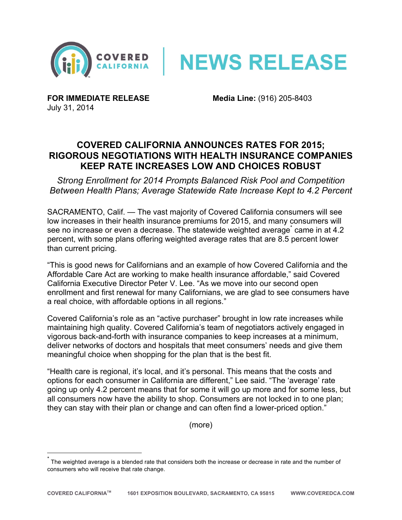



**FOR IMMEDIATE RELEASE Media Line:** (916) 205-8403 July 31, 2014

## **COVERED CALIFORNIA ANNOUNCES RATES FOR 2015; RIGOROUS NEGOTIATIONS WITH HEALTH INSURANCE COMPANIES KEEP RATE INCREASES LOW AND CHOICES ROBUST**

*Strong Enrollment for 2014 Prompts Balanced Risk Pool and Competition Between Health Plans; Average Statewide Rate Increase Kept to 4.2 Percent*

SACRAMENTO, Calif. — The vast majority of Covered California consumers will see low increases in their health insurance premiums for 2015, and many consumers will see no increase or even a decrease. The statewide weighted average<sup>\*</sup> came in at 4.2 percent, with some plans offering weighted average rates that are 8.5 percent lower than current pricing.

"This is good news for Californians and an example of how Covered California and the Affordable Care Act are working to make health insurance affordable," said Covered California Executive Director Peter V. Lee. "As we move into our second open enrollment and first renewal for many Californians, we are glad to see consumers have a real choice, with affordable options in all regions."

Covered California's role as an "active purchaser" brought in low rate increases while maintaining high quality. Covered California's team of negotiators actively engaged in vigorous back-and-forth with insurance companies to keep increases at a minimum, deliver networks of doctors and hospitals that meet consumers' needs and give them meaningful choice when shopping for the plan that is the best fit.

"Health care is regional, it's local, and it's personal. This means that the costs and options for each consumer in California are different," Lee said. "The 'average' rate going up only 4.2 percent means that for some it will go up more and for some less, but all consumers now have the ability to shop. Consumers are not locked in to one plan; they can stay with their plan or change and can often find a lower-priced option."

(more)

 \* The weighted average is a blended rate that considers both the increase or decrease in rate and the number of consumers who will receive that rate change.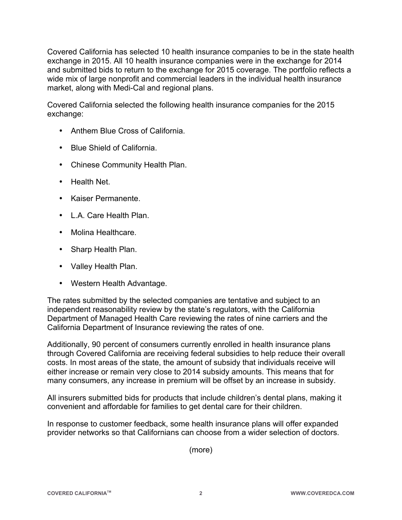Covered California has selected 10 health insurance companies to be in the state health exchange in 2015. All 10 health insurance companies were in the exchange for 2014 and submitted bids to return to the exchange for 2015 coverage. The portfolio reflects a wide mix of large nonprofit and commercial leaders in the individual health insurance market, along with Medi-Cal and regional plans.

Covered California selected the following health insurance companies for the 2015 exchange:

- Anthem Blue Cross of California.
- Blue Shield of California.
- Chinese Community Health Plan.
- Health Net.
- Kaiser Permanente.
- L.A. Care Health Plan.
- Molina Healthcare.
- Sharp Health Plan.
- Valley Health Plan.
- Western Health Advantage.

The rates submitted by the selected companies are tentative and subject to an independent reasonability review by the state's regulators, with the California Department of Managed Health Care reviewing the rates of nine carriers and the California Department of Insurance reviewing the rates of one.

Additionally, 90 percent of consumers currently enrolled in health insurance plans through Covered California are receiving federal subsidies to help reduce their overall costs. In most areas of the state, the amount of subsidy that individuals receive will either increase or remain very close to 2014 subsidy amounts. This means that for many consumers, any increase in premium will be offset by an increase in subsidy.

All insurers submitted bids for products that include children's dental plans, making it convenient and affordable for families to get dental care for their children.

In response to customer feedback, some health insurance plans will offer expanded provider networks so that Californians can choose from a wider selection of doctors.

(more)